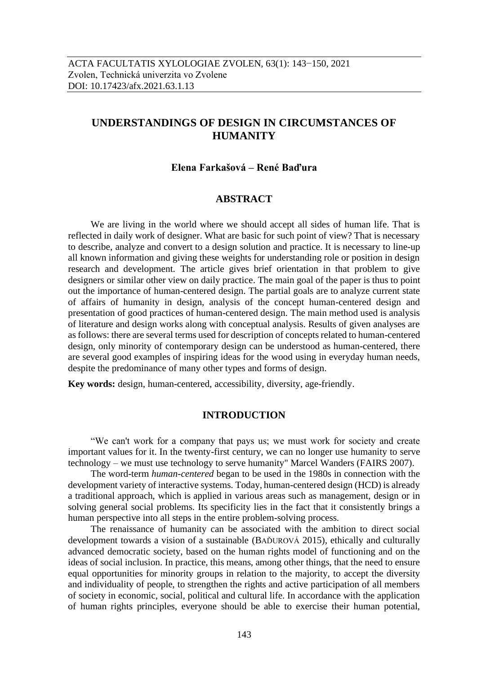# **UNDERSTANDINGS OF DESIGN IN CIRCUMSTANCES OF HUMANITY**

#### **Elena Farkašová – René Baďura**

#### **ABSTRACT**

We are living in the world where we should accept all sides of human life. That is reflected in daily work of designer. What are basic for such point of view? That is necessary to describe, analyze and convert to a design solution and practice. It is necessary to line-up all known information and giving these weights for understanding role or position in design research and development. The article gives brief orientation in that problem to give designers or similar other view on daily practice. The main goal of the paper is thus to point out the importance of human-centered design. The partial goals are to analyze current state of affairs of humanity in design, analysis of the concept human-centered design and presentation of good practices of human-centered design. The main method used is analysis of literature and design works along with conceptual analysis. Results of given analyses are as follows: there are several terms used for description of concepts related to human-centered design, only minority of contemporary design can be understood as human-centered, there are several good examples of inspiring ideas for the wood using in everyday human needs, despite the predominance of many other types and forms of design.

**Key words:** design, human-centered, accessibility, diversity, age-friendly.

### **INTRODUCTION**

"We can't work for a company that pays us; we must work for society and create important values for it. In the twenty-first century, we can no longer use humanity to serve technology – we must use technology to serve humanity" Marcel Wanders (FAIRS 2007).

The word-term *human-centered* began to be used in the 1980s in connection with the development variety of interactive systems. Today, human-centered design (HCD) is already a traditional approach, which is applied in various areas such as management, design or in solving general social problems. Its specificity lies in the fact that it consistently brings a human perspective into all steps in the entire problem-solving process.

The renaissance of humanity can be associated with the ambition to direct social development towards a vision of a sustainable (BAĎUROVÁ 2015), ethically and culturally advanced democratic society, based on the human rights model of functioning and on the ideas of social inclusion. In practice, this means, among other things, that the need to ensure equal opportunities for minority groups in relation to the majority, to accept the diversity and individuality of people, to strengthen the rights and active participation of all members of society in economic, social, political and cultural life. In accordance with the application of human rights principles, everyone should be able to exercise their human potential,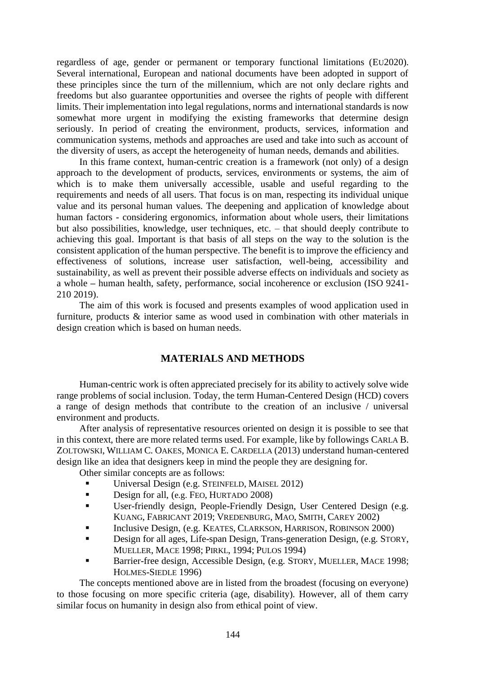regardless of age, gender or permanent or temporary functional limitations (EU2020). Several international, European and national documents have been adopted in support of these principles since the turn of the millennium, which are not only declare rights and freedoms but also guarantee opportunities and oversee the rights of people with different limits. Their implementation into legal regulations, norms and international standards is now somewhat more urgent in modifying the existing frameworks that determine design seriously. In period of creating the environment, products, services, information and communication systems, methods and approaches are used and take into such as account of the diversity of users, as accept the heterogeneity of human needs, demands and abilities.

In this frame context, human-centric creation is a framework (not only) of a design approach to the development of products, services, environments or systems, the aim of which is to make them universally accessible, usable and useful regarding to the requirements and needs of all users. That focus is on man, respecting its individual unique value and its personal human values. The deepening and application of knowledge about human factors - considering ergonomics, information about whole users, their limitations but also possibilities, knowledge, user techniques, etc. – that should deeply contribute to achieving this goal. Important is that basis of all steps on the way to the solution is the consistent application of the human perspective. The benefit is to improve the efficiency and effectiveness of solutions, increase user satisfaction, well-being, accessibility and sustainability, as well as prevent their possible adverse effects on individuals and society as a whole **–** human health, safety, performance, social incoherence or exclusion (ISO 9241- 210 2019).

The aim of this work is focused and presents examples of wood application used in furniture, products & interior same as wood used in combination with other materials in design creation which is based on human needs.

#### **MATERIALS AND METHODS**

Human-centric work is often appreciated precisely for its ability to actively solve wide range problems of social inclusion. Today, the term Human-Centered Design (HCD) covers a range of design methods that contribute to the creation of an inclusive / universal environment and products.

After analysis of representative resources oriented on design it is possible to see that in this context, there are more related terms used. For example, like by followings CARLA B. ZOLTOWSKI, WILLIAM C. OAKES, MONICA E. CARDELLA (2013) understand human-centered design like an idea that designers keep in mind the people they are designing for.

Other similar concepts are as follows:

- **•** Universal Design (e.g. STEINFELD, MAISEL 2012)
- **•** Design for all, (e.g. FEO, HURTADO 2008)
- User-friendly design, People-Friendly Design, User Centered Design (e.g. KUANG, FABRICANT 2019; VREDENBURG, MAO, SMITH, CAREY 2002)
- Inclusive Design, (e.g. KEATES, CLARKSON, HARRISON, ROBINSON 2000)
- Design for all ages, Life-span Design, Trans-generation Design, (e.g. STORY, MUELLER, MACE 1998; PIRKL, 1994; PULOS 1994)
- Barrier-free design, Accessible Design, (e.g. STORY, MUELLER, MACE 1998; HOLMES-SIEDLE 1996)

The concepts mentioned above are in listed from the broadest (focusing on everyone) to those focusing on more specific criteria (age, disability). However, all of them carry similar focus on humanity in design also from ethical point of view.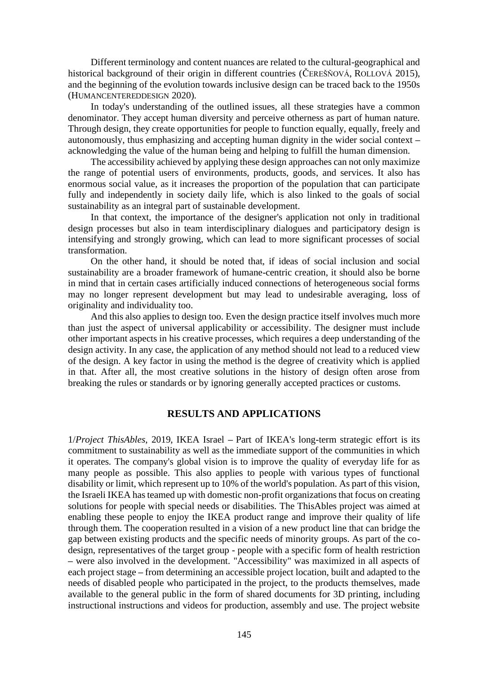Different terminology and content nuances are related to the cultural-geographical and historical background of their origin in different countries (ČEREŠŇOVÁ, ROLLOVÁ 2015), and the beginning of the evolution towards inclusive design can be traced back to the 1950s (HUMANCENTEREDDESIGN 2020).

In today's understanding of the outlined issues, all these strategies have a common denominator. They accept human diversity and perceive otherness as part of human nature. Through design, they create opportunities for people to function equally, equally, freely and autonomously, thus emphasizing and accepting human dignity in the wider social context **–** acknowledging the value of the human being and helping to fulfill the human dimension.

The accessibility achieved by applying these design approaches can not only maximize the range of potential users of environments, products, goods, and services. It also has enormous social value, as it increases the proportion of the population that can participate fully and independently in society daily life, which is also linked to the goals of social sustainability as an integral part of sustainable development.

In that context, the importance of the designer's application not only in traditional design processes but also in team interdisciplinary dialogues and participatory design is intensifying and strongly growing, which can lead to more significant processes of social transformation.

On the other hand, it should be noted that, if ideas of social inclusion and social sustainability are a broader framework of humane-centric creation, it should also be borne in mind that in certain cases artificially induced connections of heterogeneous social forms may no longer represent development but may lead to undesirable averaging, loss of originality and individuality too.

And this also applies to design too. Even the design practice itself involves much more than just the aspect of universal applicability or accessibility. The designer must include other important aspects in his creative processes, which requires a deep understanding of the design activity. In any case, the application of any method should not lead to a reduced view of the design. A key factor in using the method is the degree of creativity which is applied in that. After all, the most creative solutions in the history of design often arose from breaking the rules or standards or by ignoring generally accepted practices or customs.

#### **RESULTS AND APPLICATIONS**

1/*Project ThisAbles*, 2019, IKEA Israel **–** Part of IKEA's long-term strategic effort is its commitment to sustainability as well as the immediate support of the communities in which it operates. The company's global vision is to improve the quality of everyday life for as many people as possible. This also applies to people with various types of functional disability or limit, which represent up to 10% of the world's population. As part of this vision, the Israeli IKEA has teamed up with domestic non-profit organizations that focus on creating solutions for people with special needs or disabilities. The ThisAbles project was aimed at enabling these people to enjoy the IKEA product range and improve their quality of life through them. The cooperation resulted in a vision of a new product line that can bridge the gap between existing products and the specific needs of minority groups. As part of the codesign, representatives of the target group - people with a specific form of health restriction **–** were also involved in the development. "Accessibility" was maximized in all aspects of each project stage **–** from determining an accessible project location, built and adapted to the needs of disabled people who participated in the project, to the products themselves, made available to the general public in the form of shared documents for 3D printing, including instructional instructions and videos for production, assembly and use. The project website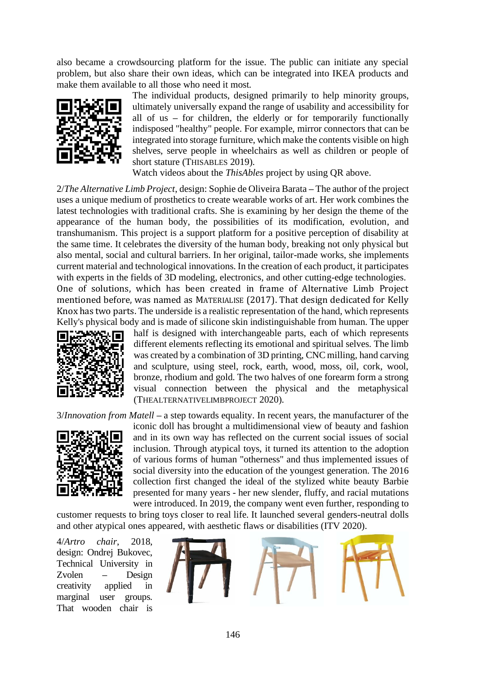also became a crowdsourcing platform for the issue. The public can initiate any special problem, but also share their own ideas, which can be integrated into IKEA products and make them available to all those who need it most.



The individual products, designed primarily to help minority groups, ultimately universally expand the range of usability and accessibility for all of us **–** for children, the elderly or for temporarily functionally indisposed "healthy" people. For example, mirror connectors that can be integrated into storage furniture, which make the contents visible on high shelves, serve people in wheelchairs as well as children or people of short stature (THISABLES 2019).

Watch videos about the *ThisAbles* project by using QR above.

2/*The Alternative Limb Project*, design: Sophie de Oliveira Barata **–** The author of the project uses a unique medium of prosthetics to create wearable works of art. Her work combines the latest technologies with traditional crafts. She is examining by her design the theme of the appearance of the human body, the possibilities of its modification, evolution, and transhumanism. This project is a support platform for a positive perception of disability at the same time. It celebrates the diversity of the human body, breaking not only physical but also mental, social and cultural barriers. In her original, tailor-made works, she implements current material and technological innovations. In the creation of each product, it participates with experts in the fields of 3D modeling, electronics, and other cutting-edge technologies. One of solutions, which has been created in frame of Alternative Limb Project

mentioned before, was named as MATERIALISE (2017). That design dedicated for Kelly Knox has two parts. The underside is a realistic representation of the hand, which represents Kelly's physical body and is made of silicone skin indistinguishable from human. The upper



half is designed with interchangeable parts, each of which represents different elements reflecting its emotional and spiritual selves. The limb was created by a combination of 3D printing, CNC milling, hand carving and sculpture, using steel, rock, earth, wood, moss, oil, cork, wool, bronze, rhodium and gold. The two halves of one forearm form a strong visual connection between the physical and the metaphysical (THEALTERNATIVELIMBPROJECT 2020).

3/*Innovation from Matell* **–** a step towards equality. In recent years, the manufacturer of the



iconic doll has brought a multidimensional view of beauty and fashion and in its own way has reflected on the current social issues of social inclusion. Through atypical toys, it turned its attention to the adoption of various forms of human "otherness" and thus implemented issues of social diversity into the education of the youngest generation. The 2016 collection first changed the ideal of the stylized white beauty Barbie presented for many years - her new slender, fluffy, and racial mutations were introduced. In 2019, the company went even further, responding to

customer requests to bring toys closer to real life. It launched several genders-neutral dolls and other atypical ones appeared, with aesthetic flaws or disabilities (ITV 2020).

4/*Artro chair*, 2018, design: Ondrej Bukovec, Technical University in Zvolen **–** Design creativity applied in marginal user groups. That wooden chair is

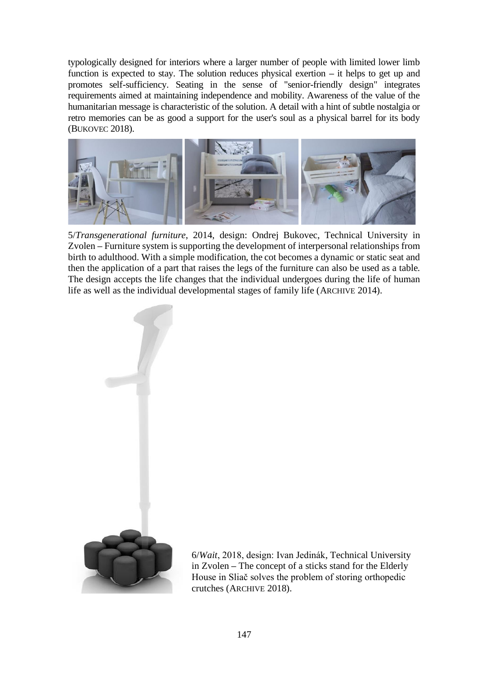typologically designed for interiors where a larger number of people with limited lower limb function is expected to stay. The solution reduces physical exertion **–** it helps to get up and promotes self-sufficiency. Seating in the sense of "senior-friendly design" integrates requirements aimed at maintaining independence and mobility. Awareness of the value of the humanitarian message is characteristic of the solution. A detail with a hint of subtle nostalgia or retro memories can be as good a support for the user's soul as a physical barrel for its body (BUKOVEC 2018).



5/*Transgenerational furniture*, 2014, design: Ondrej Bukovec, Technical University in Zvolen **–** Furniture system is supporting the development of interpersonal relationships from birth to adulthood. With a simple modification, the cot becomes a dynamic or static seat and then the application of a part that raises the legs of the furniture can also be used as a table. The design accepts the life changes that the individual undergoes during the life of human life as well as the individual developmental stages of family life (ARCHIVE 2014).



6/*Wait*, 2018, design: Ivan Jedinák, Technical University in Zvolen **–** The concept of a sticks stand for the Elderly House in Sliač solves the problem of storing orthopedic crutches (ARCHIVE 2018).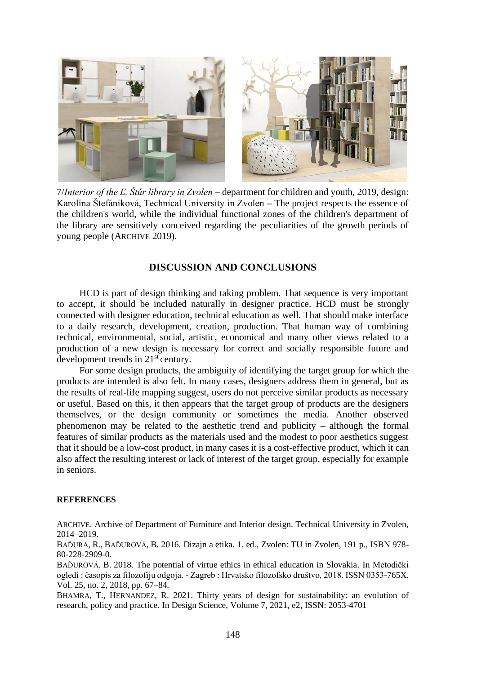

7/*Interior of the Ľ. Štúr library in Zvolen* **–** department for children and youth, 2019, design: Karolína Štefániková, Technical University in Zvolen **–** The project respects the essence of the children's world, while the individual functional zones of the children's department of the library are sensitively conceived regarding the peculiarities of the growth periods of young people (ARCHIVE 2019).

## **DISCUSSION AND CONCLUSIONS**

HCD is part of design thinking and taking problem. That sequence is very important to accept, it should be included naturally in designer practice. HCD must be strongly connected with designer education, technical education as well. That should make interface to a daily research, development, creation, production. That human way of combining technical, environmental, social, artistic, economical and many other views related to a production of a new design is necessary for correct and socially responsible future and development trends in 21<sup>st</sup> century.

For some design products, the ambiguity of identifying the target group for which the products are intended is also felt. In many cases, designers address them in general, but as the results of real-life mapping suggest, users do not perceive similar products as necessary or useful. Based on this, it then appears that the target group of products are the designers themselves, or the design community or sometimes the media. Another observed phenomenon may be related to the aesthetic trend and publicity **–** although the formal features of similar products as the materials used and the modest to poor aesthetics suggest that it should be a low-cost product, in many cases it is a cost-effective product, which it can also affect the resulting interest or lack of interest of the target group, especially for example in seniors.

#### **REFERENCES**

ARCHIVE. Archive of Department of Furniture and Interior design. Technical University in Zvolen, 2014–2019.

BAĎURA, R., BAĎUROVÁ, B. 2016. Dizajn a etika. 1. ed., Zvolen: TU in Zvolen, 191 p., ISBN 978- 80-228-2909-0.

BAĎUROVÁ. B. 2018. The potential of virtue ethics in ethical education in Slovakia. In Metodički ogledi : časopis za filozofiju odgoja. - Zagreb : Hrvatsko filozofsko društvo, 2018. ISSN 0353-765X. Vol. 25, no. 2, 2018, pp. 67–84.

BHAMRA, T., HERNANDEZ, R. 2021. Thirty years of design for sustainability: an evolution of research, policy and practice. In Design Science, Volume 7, 2021, e2, ISSN: 2053-4701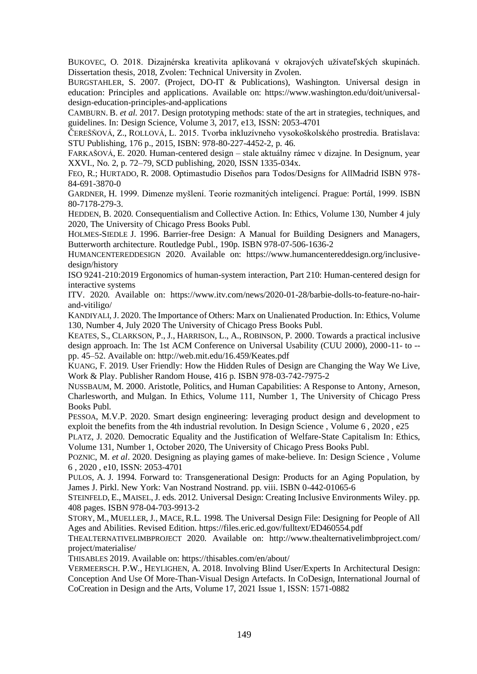BUKOVEC, O. 2018. Dizajnérska kreativita aplikovaná v okrajových užívateľských skupinách. Dissertation thesis, 2018, Zvolen: Technical University in Zvolen.

BURGSTAHLER, S. 2007. (Project, DO-IT & Publications), Washington. Universal design in education: Principles and applications. Available on: https://www.washington.edu/doit/universaldesign-education-principles-and-applications

CAMBURN. B. *et al*. 2017. Design prototyping methods: state of the art in strategies, techniques, and guidelines. In: Design Science, Volume 3, 2017, e13, ISSN: 2053-4701

ČEREŠŇOVÁ, Z., ROLLOVÁ, L. 2015. Tvorba inkluzívneho vysokoškolského prostredia. Bratislava: STU Publishing, 176 p., 2015, ISBN: 978-80-227-4452-2, p. 46.

FARKAŠOVÁ, E. 2020. Human-centered design – stale aktuálny rámec v dizajne. In Designum, year XXVI., No. 2, p. 72–79, SCD publishing, 2020, ISSN 1335-034x.

FEO, R.; HURTADO, R. 2008. Optimastudio Diseños para Todos/Designs for AllMadrid ISBN 978- 84-691-3870-0

GARDNER, H. 1999. Dimenze myšlení. Teorie rozmanitých inteligencí. Prague: Portál, 1999. ISBN 80-7178-279-3.

HEDDEN, B. 2020. Consequentialism and Collective Action. In: Ethics, Volume 130, Number 4 july 2020, The University of Chicago Press Books Publ.

HOLMES-SIEDLE J. 1996. Barrier-free Design: A Manual for Building Designers and Managers, Butterworth architecture. Routledge Publ., 190p. ISBN 978-07-506-1636-2

HUMANCENTEREDDESIGN 2020. Available on: https://www.humancentereddesign.org/inclusivedesign/history

ISO 9241-210:2019 Ergonomics of human-system interaction, Part 210: Human-centered design for interactive systems

ITV. 2020. Available on: [https://www.itv.com/news/2020-01-28/barbie-dolls-to-feature-no-hair](https://www.itv.com/news/2020-01-28/barbie-dolls-to-feature-no-hair-and-vitiligo/)[and-vitiligo/](https://www.itv.com/news/2020-01-28/barbie-dolls-to-feature-no-hair-and-vitiligo/)

KANDIYALI, J. 2020. The Importance of Others: Marx on Unalienated Production. In: Ethics, Volume 130, Number 4, July 2020 The University of Chicago Press Books Publ.

KEATES, S., CLARKSON, P., J., HARRISON, L., A., ROBINSON, P. 2000. Towards a practical inclusive design approach. In: The 1st ACM Conference on Universal Usability (CUU 2000), 2000-11- to - pp. 45–52. Available on: http://web.mit.edu/16.459/Keates.pdf

KUANG, F. 2019. User Friendly: How the Hidden Rules of Design are Changing the Way We Live, Work & Play. Publisher Random House, 416 p. ISBN 978-03-742-7975-2

NUSSBAUM, M. 2000. Aristotle, Politics, and Human Capabilities: A Response to Antony, Arneson, Charlesworth, and Mulgan. In Ethics, Volume 111, Number 1, The University of Chicago Press Books Publ.

PESSOA, M.V.P. 2020. Smart design engineering: leveraging product design and development to exploit the benefits from the 4th industrial revolution. In Design Science , Volume 6 , 2020 , e25

PLATZ, J. 2020. Democratic Equality and the Justification of Welfare-State Capitalism In: Ethics, Volume 131, Number 1, October 2020, The University of Chicago Press Books Publ.

POZNIC, M. *et al*. 2020. Designing as playing games of make-believe. In: Design Science , Volume 6 , 2020 , e10, ISSN: 2053-4701

PULOS, A. J. 1994. Forward to: Transgenerational Design: Products for an Aging Population, by James J. Pirkl. New York: Van Nostrand Nostrand. pp. viii. ISBN 0-442-01065-6

STEINFELD, E., MAISEL,J. eds. 2012. Universal Design: Creating Inclusive Environments Wiley. pp. 408 pages. ISBN 978-04-703-9913-2

STORY, M., MUELLER, J., MACE, R.L. 1998. The Universal Design File: Designing for People of All Ages and Abilities. Revised Edition. https://files.eric.ed.gov/fulltext/ED460554.pdf

THEALTERNATIVELIMBPROJECT 2020. Available on: http://www.thealternativelimbproject.com/ project/materialise/

THISABLES 2019. Available on: https://thisables.com/en/about/

VERMEERSCH. P.W., HEYLIGHEN, A. 2018. Involving Blind User/Experts In Architectural Design: Conception And Use Of More-Than-Visual Design Artefacts. In CoDesign, International Journal of CoCreation in Design and the Arts, Volume 17, 2021 Issue 1, ISSN: 1571-0882